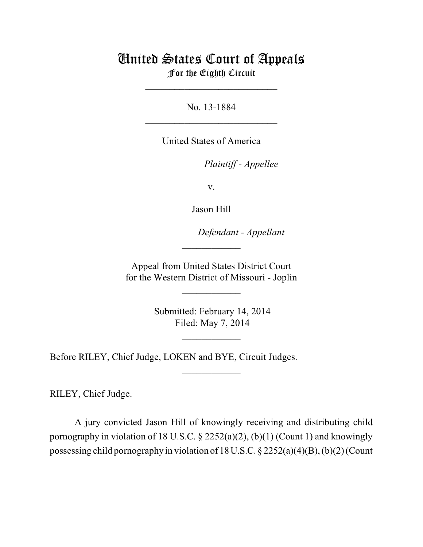# United States Court of Appeals For the Eighth Circuit

\_\_\_\_\_\_\_\_\_\_\_\_\_\_\_\_\_\_\_\_\_\_\_\_\_\_\_

No. 13-1884  $\mathcal{L}_\text{max}$  , which is a set of the set of the set of the set of the set of the set of the set of the set of the set of the set of the set of the set of the set of the set of the set of the set of the set of the set of

United States of America

Plaintiff - Appellee

v.

Jason Hill

lllllllllllllllllllll *Defendant - Appellant*

 Appeal from United States District Court for the Western District of Missouri - Joplin

 $\overline{\phantom{a}}$  , where  $\overline{\phantom{a}}$ 

 $\frac{1}{2}$ 

 Submitted: February 14, 2014 Filed: May 7, 2014

 $\frac{1}{2}$ 

 $\overline{\phantom{a}}$  , where  $\overline{\phantom{a}}$ 

Before RILEY, Chief Judge, LOKEN and BYE, Circuit Judges.

RILEY, Chief Judge.

A jury convicted Jason Hill of knowingly receiving and distributing child pornography in violation of 18 U.S.C.  $\S$  2252(a)(2), (b)(1) (Count 1) and knowingly possessing child pornography in violation of 18 U.S.C. § 2252(a)(4)(B), (b)(2) (Count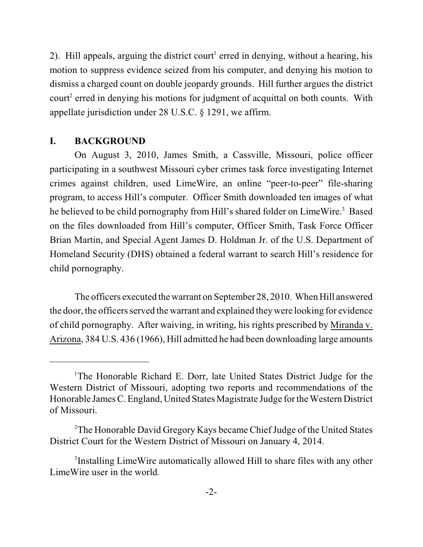2). Hill appeals, arguing the district court<sup>1</sup> erred in denying, without a hearing, his motion to suppress evidence seized from his computer, and denying his motion to dismiss a charged count on double jeopardy grounds. Hill further argues the district court<sup>2</sup> erred in denying his motions for judgment of acquittal on both counts. With appellate jurisdiction under 28 U.S.C. § 1291, we affirm.

### **I. BACKGROUND**

On August 3, 2010, James Smith, a Cassville, Missouri, police officer participating in a southwest Missouri cyber crimes task force investigating Internet crimes against children, used LimeWire, an online "peer-to-peer" file-sharing program, to access Hill's computer. Officer Smith downloaded ten images of what he believed to be child pornography from Hill's shared folder on LimeWire.<sup>3</sup> Based on the files downloaded from Hill's computer, Officer Smith, Task Force Officer Brian Martin, and Special Agent James D. Holdman Jr. of the U.S. Department of Homeland Security (DHS) obtained a federal warrant to search Hill's residence for child pornography.

The officers executed the warrant on September 28, 2010. When Hill answered the door, the officers served the warrant and explained they were looking for evidence of child pornography. After waiving, in writing, his rights prescribed by Miranda v. Arizona, 384 U.S. 436 (1966), Hill admitted he had been downloading large amounts

<sup>&</sup>lt;sup>1</sup>The Honorable Richard E. Dorr, late United States District Judge for the Western District of Missouri, adopting two reports and recommendations of the Honorable JamesC. England, United States Magistrate Judge for the Western District of Missouri.

<sup>&</sup>lt;sup>2</sup>The Honorable David Gregory Kays became Chief Judge of the United States District Court for the Western District of Missouri on January 4, 2014.

<sup>&</sup>lt;sup>3</sup>Installing LimeWire automatically allowed Hill to share files with any other LimeWire user in the world.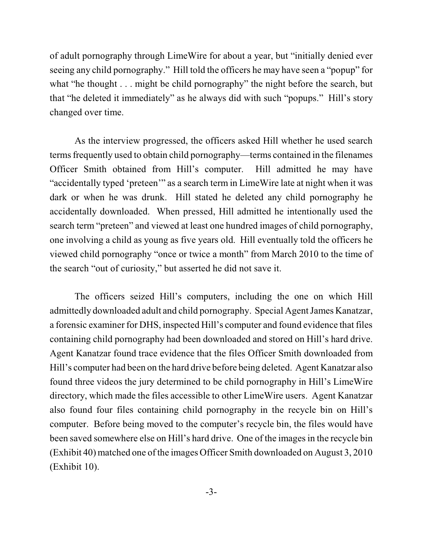of adult pornography through LimeWire for about a year, but "initially denied ever seeing any child pornography." Hill told the officers he may have seen a "popup" for what "he thought . . . might be child pornography" the night before the search, but that "he deleted it immediately" as he always did with such "popups." Hill's story changed over time.

As the interview progressed, the officers asked Hill whether he used search terms frequently used to obtain child pornography—terms contained in the filenames Officer Smith obtained from Hill's computer. Hill admitted he may have "accidentally typed 'preteen'" as a search term in LimeWire late at night when it was dark or when he was drunk. Hill stated he deleted any child pornography he accidentally downloaded. When pressed, Hill admitted he intentionally used the search term "preteen" and viewed at least one hundred images of child pornography, one involving a child as young as five years old. Hill eventually told the officers he viewed child pornography "once or twice a month" from March 2010 to the time of the search "out of curiosity," but asserted he did not save it.

The officers seized Hill's computers, including the one on which Hill admittedly downloaded adult and child pornography. Special AgentJames Kanatzar, a forensic examiner for DHS, inspected Hill's computer and found evidence that files containing child pornography had been downloaded and stored on Hill's hard drive. Agent Kanatzar found trace evidence that the files Officer Smith downloaded from Hill's computer had been on the hard drive before being deleted. Agent Kanatzar also found three videos the jury determined to be child pornography in Hill's LimeWire directory, which made the files accessible to other LimeWire users. Agent Kanatzar also found four files containing child pornography in the recycle bin on Hill's computer. Before being moved to the computer's recycle bin, the files would have been saved somewhere else on Hill's hard drive. One of the images in the recycle bin (Exhibit 40) matched one of the images Officer Smith downloaded on August 3, 2010 (Exhibit 10).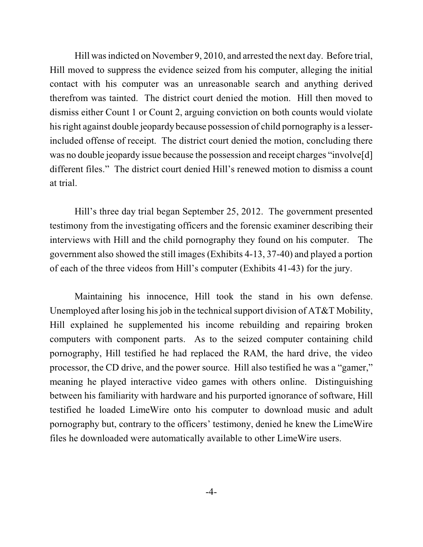Hill wasindicted on November 9, 2010, and arrested the next day. Before trial, Hill moved to suppress the evidence seized from his computer, alleging the initial contact with his computer was an unreasonable search and anything derived therefrom was tainted. The district court denied the motion. Hill then moved to dismiss either Count 1 or Count 2, arguing conviction on both counts would violate his right against double jeopardy because possession of child pornography is a lesserincluded offense of receipt. The district court denied the motion, concluding there was no double jeopardy issue because the possession and receipt charges "involve[d] different files." The district court denied Hill's renewed motion to dismiss a count at trial.

Hill's three day trial began September 25, 2012. The government presented testimony from the investigating officers and the forensic examiner describing their interviews with Hill and the child pornography they found on his computer. The government also showed the still images (Exhibits 4-13, 37-40) and played a portion of each of the three videos from Hill's computer (Exhibits 41-43) for the jury.

Maintaining his innocence, Hill took the stand in his own defense. Unemployed after losing his job in the technical support division of  $AT&T$  Mobility, Hill explained he supplemented his income rebuilding and repairing broken computers with component parts. As to the seized computer containing child pornography, Hill testified he had replaced the RAM, the hard drive, the video processor, the CD drive, and the power source. Hill also testified he was a "gamer," meaning he played interactive video games with others online. Distinguishing between his familiarity with hardware and his purported ignorance of software, Hill testified he loaded LimeWire onto his computer to download music and adult pornography but, contrary to the officers' testimony, denied he knew the LimeWire files he downloaded were automatically available to other LimeWire users.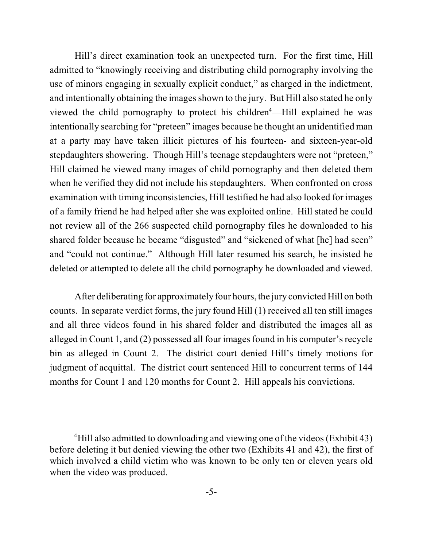Hill's direct examination took an unexpected turn. For the first time, Hill admitted to "knowingly receiving and distributing child pornography involving the use of minors engaging in sexually explicit conduct," as charged in the indictment, and intentionally obtaining the images shown to the jury. But Hill also stated he only viewed the child pornography to protect his children<sup>4</sup>—Hill explained he was intentionally searching for "preteen" images because he thought an unidentified man at a party may have taken illicit pictures of his fourteen- and sixteen-year-old stepdaughters showering. Though Hill's teenage stepdaughters were not "preteen," Hill claimed he viewed many images of child pornography and then deleted them when he verified they did not include his stepdaughters. When confronted on cross examination with timing inconsistencies, Hill testified he had also looked for images of a family friend he had helped after she was exploited online. Hill stated he could not review all of the 266 suspected child pornography files he downloaded to his shared folder because he became "disgusted" and "sickened of what [he] had seen" and "could not continue." Although Hill later resumed his search, he insisted he deleted or attempted to delete all the child pornography he downloaded and viewed.

After deliberating for approximately four hours, the jury convicted Hill on both counts. In separate verdict forms, the jury found Hill (1) received all ten still images and all three videos found in his shared folder and distributed the images all as alleged in Count 1, and (2) possessed all four images found in his computer's recycle bin as alleged in Count 2. The district court denied Hill's timely motions for judgment of acquittal. The district court sentenced Hill to concurrent terms of 144 months for Count 1 and 120 months for Count 2. Hill appeals his convictions.

<sup>&</sup>lt;sup>4</sup>Hill also admitted to downloading and viewing one of the videos (Exhibit 43) before deleting it but denied viewing the other two (Exhibits 41 and 42), the first of which involved a child victim who was known to be only ten or eleven years old when the video was produced.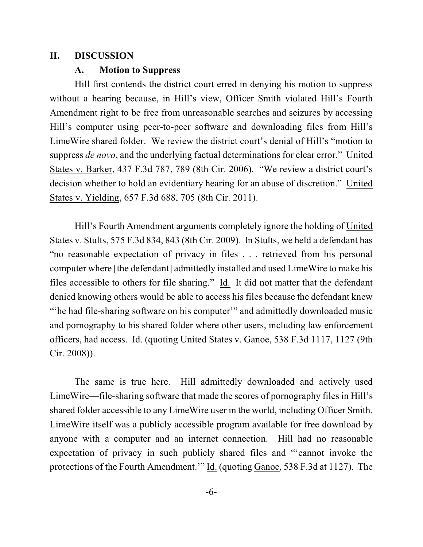#### **II. DISCUSSION**

#### **A. Motion to Suppress**

Hill first contends the district court erred in denying his motion to suppress without a hearing because, in Hill's view, Officer Smith violated Hill's Fourth Amendment right to be free from unreasonable searches and seizures by accessing Hill's computer using peer-to-peer software and downloading files from Hill's LimeWire shared folder. We review the district court's denial of Hill's "motion to suppress *de novo*, and the underlying factual determinations for clear error." United States v. Barker, 437 F.3d 787, 789 (8th Cir. 2006). "We review a district court's decision whether to hold an evidentiary hearing for an abuse of discretion." United States v. Yielding, 657 F.3d 688, 705 (8th Cir. 2011).

Hill's Fourth Amendment arguments completely ignore the holding of United States v. Stults, 575 F.3d 834, 843 (8th Cir. 2009). In Stults, we held a defendant has "no reasonable expectation of privacy in files . . . retrieved from his personal computer where [the defendant] admittedly installed and used LimeWire to make his files accessible to others for file sharing." Id. It did not matter that the defendant denied knowing others would be able to access his files because the defendant knew "'he had file-sharing software on his computer'" and admittedly downloaded music and pornography to his shared folder where other users, including law enforcement officers, had access. Id. (quoting United States v. Ganoe, 538 F.3d 1117, 1127 (9th Cir. 2008)).

The same is true here. Hill admittedly downloaded and actively used LimeWire—file-sharing software that made the scores of pornography files in Hill's shared folder accessible to any LimeWire user in the world, including Officer Smith. LimeWire itself was a publicly accessible program available for free download by anyone with a computer and an internet connection. Hill had no reasonable expectation of privacy in such publicly shared files and "'cannot invoke the protections of the Fourth Amendment.'" Id. (quoting Ganoe, 538 F.3d at 1127). The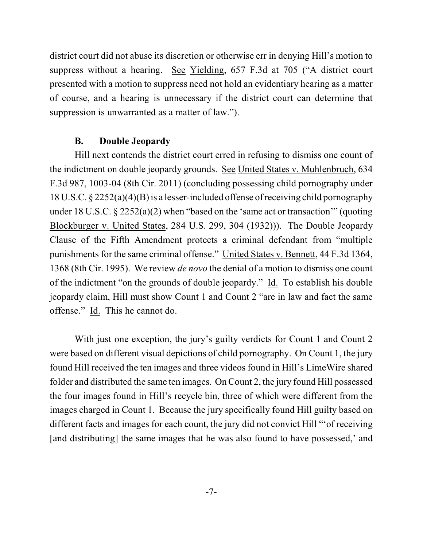district court did not abuse its discretion or otherwise err in denying Hill's motion to suppress without a hearing. See Yielding, 657 F.3d at 705 ("A district court presented with a motion to suppress need not hold an evidentiary hearing as a matter of course, and a hearing is unnecessary if the district court can determine that suppression is unwarranted as a matter of law.").

### **B. Double Jeopardy**

Hill next contends the district court erred in refusing to dismiss one count of the indictment on double jeopardy grounds. See United States v. Muhlenbruch, 634 F.3d 987, 1003-04 (8th Cir. 2011) (concluding possessing child pornography under 18 U.S.C. § 2252(a)(4)(B) is a lesser-included offense ofreceiving child pornography under 18 U.S.C. § 2252(a)(2) when "based on the 'same act or transaction'" (quoting Blockburger v. United States, 284 U.S. 299, 304 (1932))). The Double Jeopardy Clause of the Fifth Amendment protects a criminal defendant from "multiple punishments for the same criminal offense." United States v. Bennett, 44 F.3d 1364, 1368 (8th Cir. 1995). We review *de novo* the denial of a motion to dismiss one count of the indictment "on the grounds of double jeopardy." Id. To establish his double jeopardy claim, Hill must show Count 1 and Count 2 "are in law and fact the same offense." Id. This he cannot do.

With just one exception, the jury's guilty verdicts for Count 1 and Count 2 were based on different visual depictions of child pornography. On Count 1, the jury found Hill received the ten images and three videos found in Hill's LimeWire shared folder and distributed the same ten images. On Count 2, the jury found Hill possessed the four images found in Hill's recycle bin, three of which were different from the images charged in Count 1. Because the jury specifically found Hill guilty based on different facts and images for each count, the jury did not convict Hill "'of receiving [and distributing] the same images that he was also found to have possessed,' and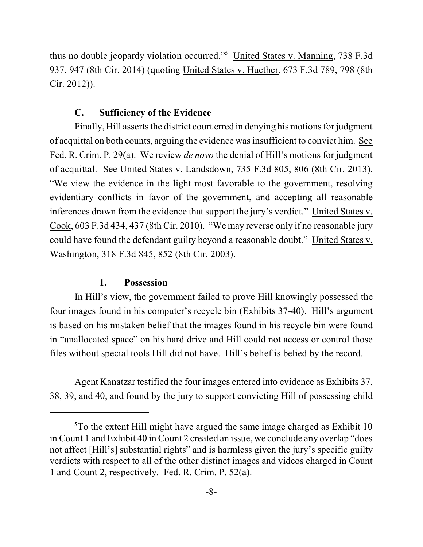thus no double jeopardy violation occurred."<sup>5</sup> United States v. Manning, 738 F.3d 937, 947 (8th Cir. 2014) (quoting United States v. Huether, 673 F.3d 789, 798 (8th Cir. 2012)).

#### **C. Sufficiency of the Evidence**

Finally, Hill asserts the district court erred in denying his motions for judgment of acquittal on both counts, arguing the evidence wasinsufficient to convict him. See Fed. R. Crim. P. 29(a). We review *de novo* the denial of Hill's motions for judgment of acquittal. See United States v. Landsdown, 735 F.3d 805, 806 (8th Cir. 2013). "We view the evidence in the light most favorable to the government, resolving evidentiary conflicts in favor of the government, and accepting all reasonable inferences drawn from the evidence that support the jury's verdict." United States v. Cook, 603 F.3d 434, 437 (8th Cir. 2010). "We may reverse only if no reasonable jury could have found the defendant guilty beyond a reasonable doubt." United States v. Washington, 318 F.3d 845, 852 (8th Cir. 2003).

#### **1. Possession**

In Hill's view, the government failed to prove Hill knowingly possessed the four images found in his computer's recycle bin (Exhibits 37-40). Hill's argument is based on his mistaken belief that the images found in his recycle bin were found in "unallocated space" on his hard drive and Hill could not access or control those files without special tools Hill did not have. Hill's belief is belied by the record.

Agent Kanatzar testified the four images entered into evidence as Exhibits 37, 38, 39, and 40, and found by the jury to support convicting Hill of possessing child

 $5$ To the extent Hill might have argued the same image charged as Exhibit 10 in Count 1 and Exhibit 40 in Count 2 created an issue, we conclude any overlap "does not affect [Hill's] substantial rights" and is harmless given the jury's specific guilty verdicts with respect to all of the other distinct images and videos charged in Count 1 and Count 2, respectively. Fed. R. Crim. P. 52(a).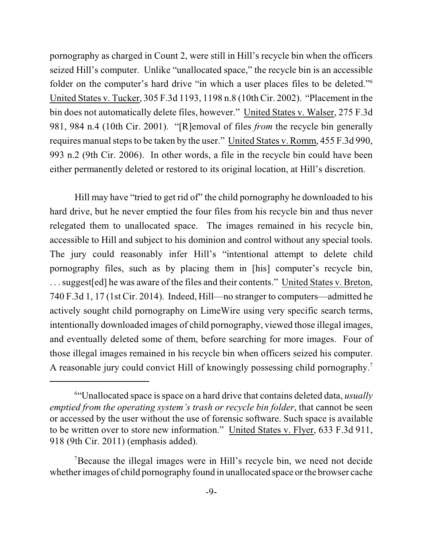pornography as charged in Count 2, were still in Hill's recycle bin when the officers seized Hill's computer. Unlike "unallocated space," the recycle bin is an accessible folder on the computer's hard drive "in which a user places files to be deleted."<sup>6</sup> United States v. Tucker, 305 F.3d 1193, 1198 n.8 (10th Cir. 2002). "Placement in the bin does not automatically delete files, however." United States v. Walser, 275 F.3d 981, 984 n.4 (10th Cir. 2001). "[R]emoval of files *from* the recycle bin generally requires manual steps to be taken by the user." United States v. Romm, 455 F.3d 990, 993 n.2 (9th Cir. 2006). In other words, a file in the recycle bin could have been either permanently deleted or restored to its original location, at Hill's discretion.

Hill may have "tried to get rid of" the child pornography he downloaded to his hard drive, but he never emptied the four files from his recycle bin and thus never relegated them to unallocated space. The images remained in his recycle bin, accessible to Hill and subject to his dominion and control without any special tools. The jury could reasonably infer Hill's "intentional attempt to delete child pornography files, such as by placing them in [his] computer's recycle bin, . . . suggest[ed] he was aware of the files and their contents." United States v. Breton, 740 F.3d 1, 17 (1st Cir. 2014). Indeed, Hill—no stranger to computers—admitted he actively sought child pornography on LimeWire using very specific search terms, intentionally downloaded images of child pornography, viewed those illegal images, and eventually deleted some of them, before searching for more images. Four of those illegal images remained in his recycle bin when officers seized his computer. A reasonable jury could convict Hill of knowingly possessing child pornography.<sup>7</sup>

<sup>&</sup>lt;sup>6"</sup>Unallocated space is space on a hard drive that contains deleted data, *usually emptied from the operating system's trash or recycle bin folder*, that cannot be seen or accessed by the user without the use of forensic software. Such space is available to be written over to store new information." United States v. Flyer, 633 F.3d 911, 918 (9th Cir. 2011) (emphasis added).

<sup>&</sup>lt;sup>7</sup>Because the illegal images were in Hill's recycle bin, we need not decide whether images of child pornography found in unallocated space or the browser cache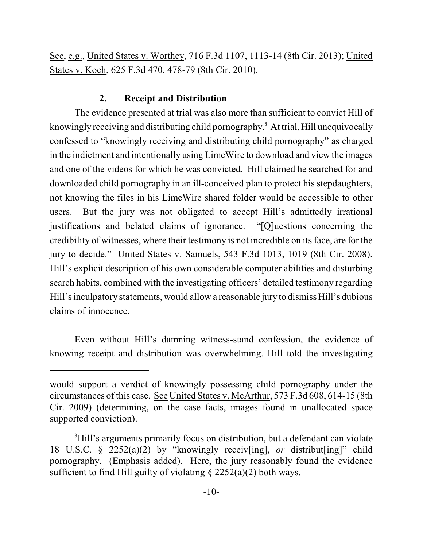See, e.g., United States v. Worthey, 716 F.3d 1107, 1113-14 (8th Cir. 2013); United States v. Koch, 625 F.3d 470, 478-79 (8th Cir. 2010).

## **2. Receipt and Distribution**

The evidence presented at trial was also more than sufficient to convict Hill of knowingly receiving and distributing child pornography.<sup>8</sup> At trial, Hill unequivocally confessed to "knowingly receiving and distributing child pornography" as charged in the indictment and intentionally using LimeWire to download and view the images and one of the videos for which he was convicted. Hill claimed he searched for and downloaded child pornography in an ill-conceived plan to protect his stepdaughters, not knowing the files in his LimeWire shared folder would be accessible to other users. But the jury was not obligated to accept Hill's admittedly irrational justifications and belated claims of ignorance. "[Q]uestions concerning the credibility of witnesses, where their testimony is not incredible on its face, are for the jury to decide." United States v. Samuels, 543 F.3d 1013, 1019 (8th Cir. 2008). Hill's explicit description of his own considerable computer abilities and disturbing search habits, combined with the investigating officers' detailed testimony regarding Hill's inculpatory statements, would allow a reasonable jury to dismiss Hill's dubious claims of innocence.

Even without Hill's damning witness-stand confession, the evidence of knowing receipt and distribution was overwhelming. Hill told the investigating

would support a verdict of knowingly possessing child pornography under the circumstances of this case. See United States v. McArthur, 573 F.3d 608, 614-15 (8th Cir. 2009) (determining, on the case facts, images found in unallocated space supported conviction).

<sup>&</sup>lt;sup>8</sup>Hill's arguments primarily focus on distribution, but a defendant can violate 18 U.S.C. § 2252(a)(2) by "knowingly receiv[ing], *or* distribut[ing]" child pornography. (Emphasis added). Here, the jury reasonably found the evidence sufficient to find Hill guilty of violating  $\S 2252(a)(2)$  both ways.